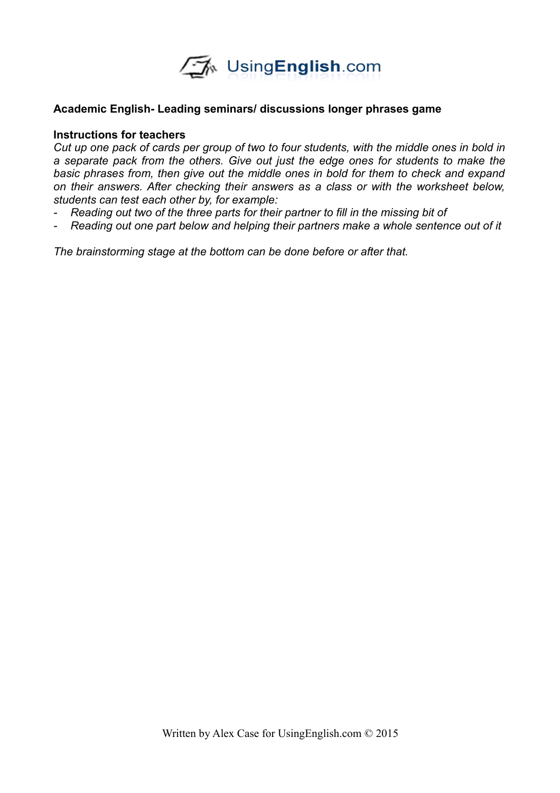

## **Academic English- Leading seminars/ discussions longer phrases game**

## **Instructions for teachers**

*Cut up one pack of cards per group of two to four students, with the middle ones in bold in a separate pack from the others. Give out just the edge ones for students to make the basic phrases from, then give out the middle ones in bold for them to check and expand on their answers. After checking their answers as a class or with the worksheet below, students can test each other by, for example:*

- *- Reading out two of the three parts for their partner to fill in the missing bit of*
- *- Reading out one part below and helping their partners make a whole sentence out of it*

*The brainstorming stage at the bottom can be done before or after that.*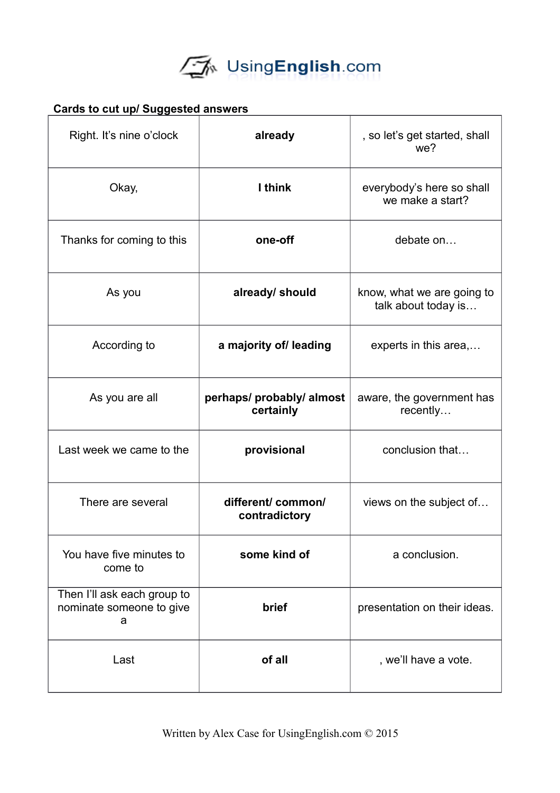

## **Cards to cut up/ Suggested answers**

| Right. It's nine o'clock                                     | already                                | , so let's get started, shall<br>we?              |
|--------------------------------------------------------------|----------------------------------------|---------------------------------------------------|
| Okay,                                                        | I think                                | everybody's here so shall<br>we make a start?     |
| Thanks for coming to this                                    | one-off                                | debate on                                         |
| As you                                                       | already/ should                        | know, what we are going to<br>talk about today is |
| According to                                                 | a majority of/ leading                 | experts in this area,                             |
| As you are all                                               | perhaps/ probably/ almost<br>certainly | aware, the government has<br>recently             |
| Last week we came to the                                     | provisional                            | conclusion that                                   |
| There are several                                            | different/ common/<br>contradictory    | views on the subject of                           |
| You have five minutes to<br>come to                          | some kind of                           | a conclusion.                                     |
| Then I'll ask each group to<br>nominate someone to give<br>a | brief                                  | presentation on their ideas.                      |
| Last                                                         | of all                                 | , we'll have a vote.                              |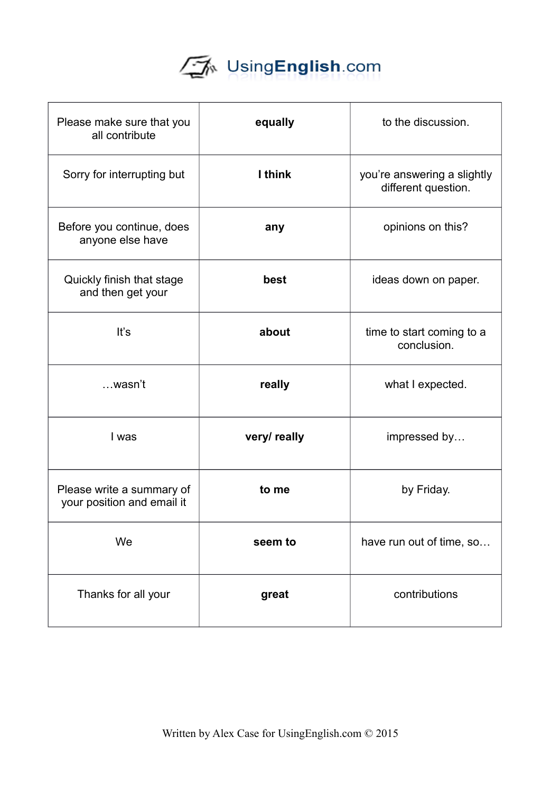

| Please make sure that you<br>all contribute             | equally      | to the discussion.                                 |
|---------------------------------------------------------|--------------|----------------------------------------------------|
| Sorry for interrupting but                              | I think      | you're answering a slightly<br>different question. |
| Before you continue, does<br>anyone else have           | any          | opinions on this?                                  |
| Quickly finish that stage<br>and then get your          | best         | ideas down on paper.                               |
| It's                                                    | about        | time to start coming to a<br>conclusion.           |
| wasn't                                                  | really       | what I expected.                                   |
| I was                                                   | very/ really | impressed by                                       |
| Please write a summary of<br>your position and email it | to me        | by Friday.                                         |
| We                                                      | seem to      | have run out of time, so                           |
| Thanks for all your                                     | great        | contributions                                      |